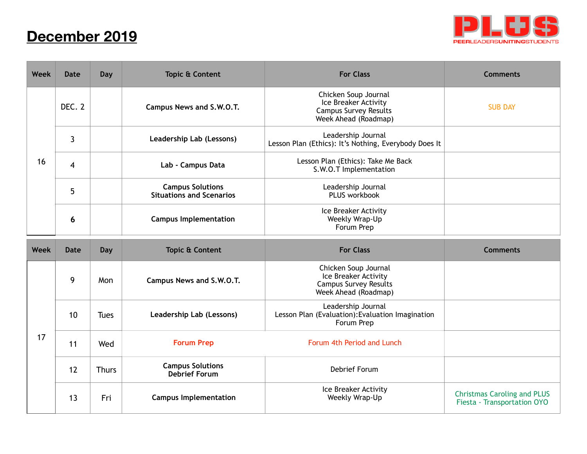## **December 2019**



| <b>Week</b> | <b>Date</b>    | Day          | <b>Topic &amp; Content</b>                                 | <b>For Class</b>                                                                                     | <b>Comments</b> |
|-------------|----------------|--------------|------------------------------------------------------------|------------------------------------------------------------------------------------------------------|-----------------|
| 16          | DEC. 2         |              | Campus News and S.W.O.T.                                   | Chicken Soup Journal<br>Ice Breaker Activity<br><b>Campus Survey Results</b><br>Week Ahead (Roadmap) | <b>SUB DAY</b>  |
|             | $\mathbf{3}$   |              | Leadership Lab (Lessons)                                   | Leadership Journal<br>Lesson Plan (Ethics): It's Nothing, Everybody Does It                          |                 |
|             | $\overline{4}$ |              | Lab - Campus Data                                          | Lesson Plan (Ethics): Take Me Back<br>S.W.O.T Implementation                                         |                 |
|             | 5              |              | <b>Campus Solutions</b><br><b>Situations and Scenarios</b> | Leadership Journal<br>PLUS workbook                                                                  |                 |
|             | 6              |              | <b>Campus Implementation</b>                               | Ice Breaker Activity<br>Weekly Wrap-Up<br>Forum Prep                                                 |                 |
|             |                |              |                                                            |                                                                                                      |                 |
| Week        | <b>Date</b>    | Day          | <b>Topic &amp; Content</b>                                 | <b>For Class</b>                                                                                     | <b>Comments</b> |
|             | 9              | Mon          | Campus News and S.W.O.T.                                   | Chicken Soup Journal<br>Ice Breaker Activity<br><b>Campus Survey Results</b><br>Week Ahead (Roadmap) |                 |
|             | 10             | <b>Tues</b>  | Leadership Lab (Lessons)                                   | Leadership Journal<br>Lesson Plan (Evaluation): Evaluation Imagination<br>Forum Prep                 |                 |
| 17          | 11             | Wed          | <b>Forum Prep</b>                                          | Forum 4th Period and Lunch                                                                           |                 |
|             | 12             | <b>Thurs</b> | <b>Campus Solutions</b><br><b>Debrief Forum</b>            | Debrief Forum                                                                                        |                 |